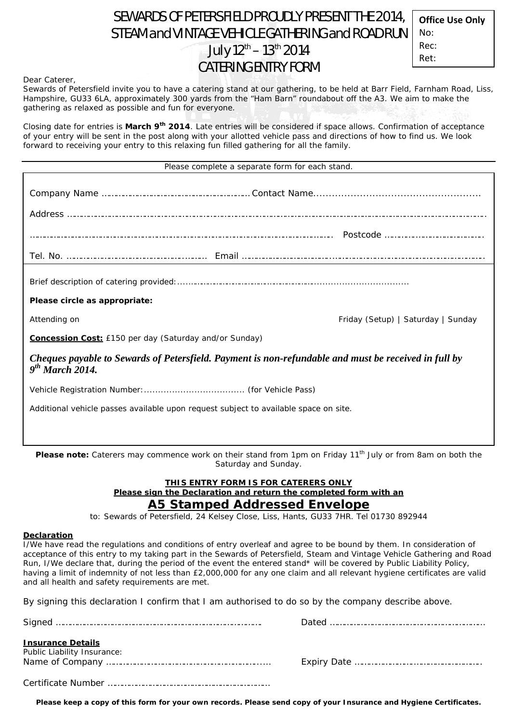## SEWARDS OF PETERSFIELD PROUDLY PRESENT THE 2014, STEAM and VINTAGE VEHICLE GATHERING and ROAD RUN July 12<sup>th</sup> – 13<sup>th</sup> 2014 CATERING ENTRY FORM

**Office Use Only** No: Rec: Ret:

Dear Caterer,

Sewards of Petersfield invite you to have a catering stand at our gathering, to be held at Barr Field, Farnham Road, Liss, Hampshire, GU33 6LA, approximately 300 yards from the "Ham Barn" roundabout off the A3. We aim to make the gathering as relaxed as possible and fun for everyone.

Closing date for entries is **March 9th 2014**. Late entries will be considered if space allows. Confirmation of acceptance of your entry will be sent in the post along with your allotted vehicle pass and directions of how to find us. We look forward to receiving your entry to this relaxing fun filled gathering for all the family.

| Please complete a separate form for each stand.                                                                              |                                    |  |
|------------------------------------------------------------------------------------------------------------------------------|------------------------------------|--|
|                                                                                                                              |                                    |  |
|                                                                                                                              |                                    |  |
|                                                                                                                              |                                    |  |
|                                                                                                                              |                                    |  |
|                                                                                                                              |                                    |  |
| Please circle as appropriate:                                                                                                |                                    |  |
| Attending on                                                                                                                 | Friday (Setup)   Saturday   Sunday |  |
| <b>Concession Cost:</b> £150 per day (Saturday and/or Sunday)                                                                |                                    |  |
| Cheques payable to Sewards of Petersfield. Payment is non-refundable and must be received in full by<br>$9^{th}$ March 2014. |                                    |  |
|                                                                                                                              |                                    |  |
| Additional vehicle passes available upon request subject to available space on site.                                         |                                    |  |
|                                                                                                                              |                                    |  |

Please note: Caterers may commence work on their stand from 1pm on Friday 11<sup>th</sup> July or from 8am on both the Saturday and Sunday.

## **THIS ENTRY FORM IS FOR CATERERS ONLY Please sign the Declaration and return the completed form with an**  *A5 Stamped Addressed Envelope*

to: Sewards of Petersfield, 24 Kelsey Close, Liss, Hants, GU33 7HR. Tel 01730 892944

## **Declaration**

I/We have read the regulations and conditions of entry overleaf and agree to be bound by them. In consideration of acceptance of this entry to my taking part in the Sewards of Petersfield, Steam and Vintage Vehicle Gathering and Road Run, I/We declare that, during the period of the event the entered stand\* will be covered by Public Liability Policy, having a limit of indemnity of not less than £2,000,000 for any one claim and all relevant hygiene certificates are valid and all health and safety requirements are met.

By signing this declaration I confirm that I am authorised to do so by the company describe above.

| <b>Insurance Details</b><br>Public Liability Insurance: |  |
|---------------------------------------------------------|--|
|                                                         |  |

**Please keep a copy of this form for your own records. Please send copy of your Insurance and Hygiene Certificates.**